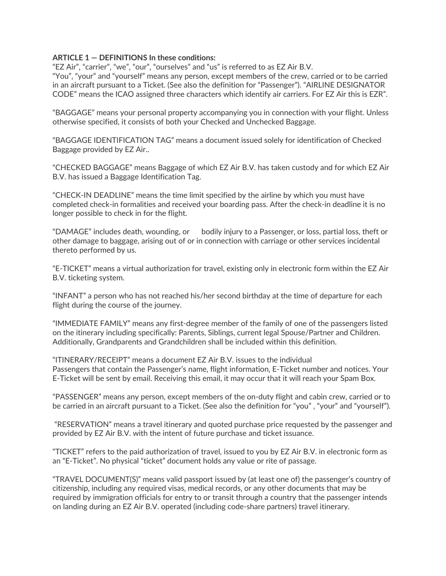## **ARTICLE 1 — DEFINITIONS In these conditions:**

"EZ Air", "carrier", "we", "our", "ourselves" and "us" is referred to as EZ Air B.V.

"You", "your" and "yourself" means any person, except members of the crew, carried or to be carried in an aircraft pursuant to a Ticket. (See also the definition for "Passenger"). "AIRLINE DESIGNATOR CODE" means the ICAO assigned three characters which identify air carriers. For EZ Air this is EZR".

"BAGGAGE" means your personal property accompanying you in connection with your flight. Unless otherwise specified, it consists of both your Checked and Unchecked Baggage.

"BAGGAGE IDENTIFICATION TAG" means a document issued solely for identification of Checked Baggage provided by EZ Air..

"CHECKED BAGGAGE" means Baggage of which EZ Air B.V. has taken custody and for which EZ Air B.V. has issued a Baggage Identification Tag.

"CHECK-IN DEADLINE" means the time limit specified by the airline by which you must have completed check-in formalities and received your boarding pass. After the check-in deadline it is no longer possible to check in for the flight.

"DAMAGE" includes death, wounding, or bodily injury to a Passenger, or loss, partial loss, theft or other damage to baggage, arising out of or in connection with carriage or other services incidental thereto performed by us.

"E-TICKET" means a virtual authorization for travel, existing only in electronic form within the EZ Air B.V. ticketing system.

"INFANT" a person who has not reached his/her second birthday at the time of departure for each flight during the course of the journey.

"IMMEDIATE FAMILY" means any first-degree member of the family of one of the passengers listed on the itinerary including specifically: Parents, Siblings, current legal Spouse/Partner and Children. Additionally, Grandparents and Grandchildren shall be included within this definition.

"ITINERARY/RECEIPT" means a document EZ Air B.V. issues to the individual Passengers that contain the Passenger's name, flight information, E-Ticket number and notices. Your E-Ticket will be sent by email. Receiving this email, it may occur that it will reach your Spam Box.

"PASSENGER" means any person, except members of the on-duty flight and cabin crew, carried or to be carried in an aircraft pursuant to a Ticket. (See also the definition for "you", "your" and "yourself").

"RESERVATION" means a travel itinerary and quoted purchase price requested by the passenger and provided by EZ Air B.V. with the intent of future purchase and ticket issuance.

"TICKET" refers to the paid authorization of travel, issued to you by EZ Air B.V. in electronic form as an "E-Ticket". No physical "ticket" document holds any value or rite of passage.

"TRAVEL DOCUMENT(S)" means valid passport issued by (at least one of) the passenger's country of citizenship, including any required visas, medical records, or any other documents that may be required by immigration officials for entry to or transit through a country that the passenger intends on landing during an EZ Air B.V. operated (including code-share partners) travel itinerary.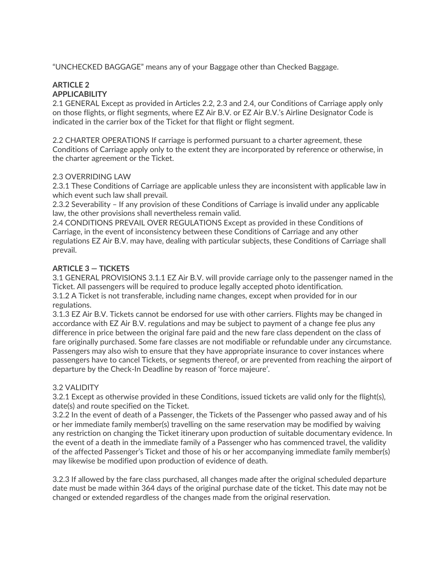"UNCHECKED BAGGAGE" means any of your Baggage other than Checked Baggage.

### **ARTICLE 2 APPLICABILITY**

2.1 GENERAL Except as provided in Articles 2.2, 2.3 and 2.4, our Conditions of Carriage apply only on those flights, or flight segments, where EZ Air B.V. or EZ Air B.V.'s Airline Designator Code is indicated in the carrier box of the Ticket for that flight or flight segment.

2.2 CHARTER OPERATIONS If carriage is performed pursuant to a charter agreement, these Conditions of Carriage apply only to the extent they are incorporated by reference or otherwise, in the charter agreement or the Ticket.

## 2.3 OVERRIDING LAW

2.3.1 These Conditions of Carriage are applicable unless they are inconsistent with applicable law in which event such law shall prevail.

2.3.2 Severability – If any provision of these Conditions of Carriage is invalid under any applicable law, the other provisions shall nevertheless remain valid.

2.4 CONDITIONS PREVAIL OVER REGULATIONS Except as provided in these Conditions of Carriage, in the event of inconsistency between these Conditions of Carriage and any other regulations EZ Air B.V. may have, dealing with particular subjects, these Conditions of Carriage shall prevail.

# **ARTICLE 3 — TICKETS**

3.1 GENERAL PROVISIONS 3.1.1 EZ Air B.V. will provide carriage only to the passenger named in the Ticket. All passengers will be required to produce legally accepted photo identification. 3.1.2 A Ticket is not transferable, including name changes, except when provided for in our regulations.

3.1.3 EZ Air B.V. Tickets cannot be endorsed for use with other carriers. Flights may be changed in accordance with EZ Air B.V. regulations and may be subject to payment of a change fee plus any difference in price between the original fare paid and the new fare class dependent on the class of fare originally purchased. Some fare classes are not modifiable or refundable under any circumstance. Passengers may also wish to ensure that they have appropriate insurance to cover instances where passengers have to cancel Tickets, or segments thereof, or are prevented from reaching the airport of departure by the Check-In Deadline by reason of 'force majeure'.

# 3.2 VALIDITY

3.2.1 Except as otherwise provided in these Conditions, issued tickets are valid only for the flight(s), date(s) and route specified on the Ticket.

3.2.2 In the event of death of a Passenger, the Tickets of the Passenger who passed away and of his or her immediate family member(s) travelling on the same reservation may be modified by waiving any restriction on changing the Ticket itinerary upon production of suitable documentary evidence. In the event of a death in the immediate family of a Passenger who has commenced travel, the validity of the affected Passenger's Ticket and those of his or her accompanying immediate family member(s) may likewise be modified upon production of evidence of death.

3.2.3 If allowed by the fare class purchased, all changes made after the original scheduled departure date must be made within 364 days of the original purchase date of the ticket. This date may not be changed or extended regardless of the changes made from the original reservation.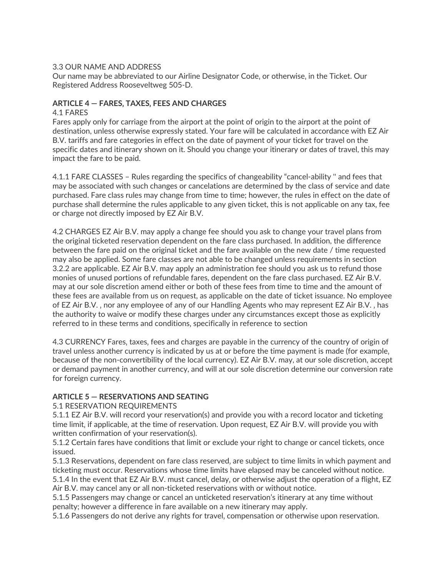## 3.3 OUR NAME AND ADDRESS

Our name may be abbreviated to our Airline Designator Code, or otherwise, in the Ticket. Our Registered Address Rooseveltweg 505-D.

## ARTICLE 4 – FARES, TAXES, FEES AND CHARGES

#### 4.1 FARES

Fares apply only for carriage from the airport at the point of origin to the airport at the point of destination, unless otherwise expressly stated. Your fare will be calculated in accordance with EZ Air B.V. tariffs and fare categories in effect on the date of payment of your ticket for travel on the specific dates and itinerary shown on it. Should you change your itinerary or dates of travel, this may impact the fare to be paid.

4.1.1 FARE CLASSES – Rules regarding the specifics of changeability "cancel-ability '' and fees that may be associated with such changes or cancelations are determined by the class of service and date purchased. Fare class rules may change from time to time; however, the rules in effect on the date of purchase shall determine the rules applicable to any given ticket, this is not applicable on any tax, fee or charge not directly imposed by EZ Air B.V.

4.2 CHARGES EZ Air B.V. may apply a change fee should you ask to change your travel plans from the original ticketed reservation dependent on the fare class purchased. In addition, the difference between the fare paid on the original ticket and the fare available on the new date / time requested may also be applied. Some fare classes are not able to be changed unless requirements in section 3.2.2 are applicable. EZ Air B.V. may apply an administration fee should you ask us to refund those monies of unused portions of refundable fares, dependent on the fare class purchased. EZ Air B.V. may at our sole discretion amend either or both of these fees from time to time and the amount of these fees are available from us on request, as applicable on the date of ticket issuance. No employee of EZ Air B.V., nor any employee of any of our Handling Agents who may represent EZ Air B.V., has the authority to waive or modify these charges under any circumstances except those as explicitly referred to in these terms and conditions, specifically in reference to section

4.3 CURRENCY Fares, taxes, fees and charges are payable in the currency of the country of origin of travel unless another currency is indicated by us at or before the time payment is made (for example' because of the non-convertibility of the local currency). EZ Air B.V. may, at our sole discretion, accept or demand payment in another currency, and will at our sole discretion determine our conversion rate for foreign currency.

# **ARTICLE 5 — RESERVATIONS AND SEATING**

#### 5.1 RESERVATION REQUIREMENTS

5.1.1 EZ Air B.V. will record your reservation(s) and provide you with a record locator and ticketing time limit, if applicable, at the time of reservation. Upon request, EZ Air B.V. will provide you with written confirmation of your reservation(s).

5.1.2 Certain fares have conditions that limit or exclude your right to change or cancel tickets, once issued.

5.1.3 Reservations, dependent on fare class reserved, are subject to time limits in which payment and ticketing must occur. Reservations whose time limits have elapsed may be canceled without notice. 5.1.4 In the event that EZ Air B.V. must cancel, delay, or otherwise adjust the operation of a flight, EZ

Air B.V. may cancel any or all non-ticketed reservations with or without notice.

5.1.5 Passengers may change or cancel an unticketed reservation's itinerary at any time without penalty; however a difference in fare available on a new itinerary may apply.

5.1.6 Passengers do not derive any rights for travel, compensation or otherwise upon reservation.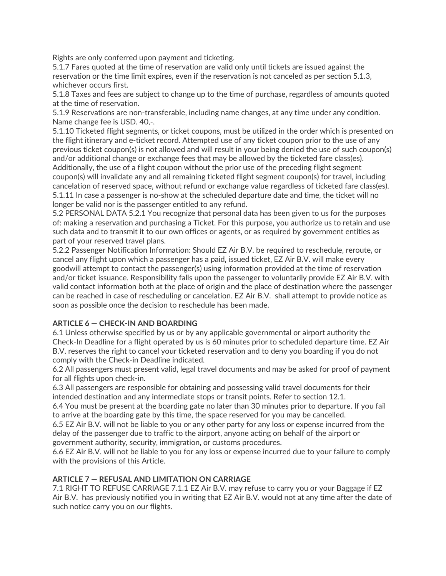Rights are only conferred upon payment and ticketing.

5.1.7 Fares quoted at the time of reservation are valid only until tickets are issued against the reservation or the time limit expires, even if the reservation is not canceled as per section 5.1.3, whichever occurs first.

5.1.8 Taxes and fees are subject to change up to the time of purchase, regardless of amounts quoted at the time of reservation.

5.1.9 Reservations are non-transferable, including name changes, at any time under any condition. Name change fee is USD. 40,-.

5.1.10 Ticketed flight segments, or ticket coupons, must be utilized in the order which is presented on the flight itinerary and e-ticket record. Attempted use of any ticket coupon prior to the use of any previous ticket coupon(s) is not allowed and will result in your being denied the use of such coupon(s) and/or additional change or exchange fees that may be allowed by the ticketed fare class(es). Additionally, the use of a flight coupon without the prior use of the preceding flight segment coupon(s) will invalidate any and all remaining ticketed flight segment coupon(s) for travel, including cancelation of reserved space, without refund or exchange value regardless of ticketed fare class(es). 5.1.11 In case a passenger is no-show at the scheduled departure date and time, the ticket will no longer be valid nor is the passenger entitled to any refund.

5.2 PERSONAL DATA 5.2.1 You recognize that personal data has been given to us for the purposes of: making a reservation and purchasing a Ticket. For this purpose, you authorize us to retain and use such data and to transmit it to our own offices or agents, or as required by government entities as part of your reserved travel plans.

5.2.2 Passenger Notification Information: Should EZ Air B.V. be required to reschedule, reroute, or cancel any flight upon which a passenger has a paid, issued ticket, EZ Air B.V. will make every goodwill attempt to contact the passenger(s) using information provided at the time of reservation and/or ticket issuance. Responsibility falls upon the passenger to voluntarily provide EZ Air B.V. with valid contact information both at the place of origin and the place of destination where the passenger can be reached in case of rescheduling or cancelation. EZ Air B.V. shall attempt to provide notice as soon as possible once the decision to reschedule has been made.

# **ARTICLE 6 — CHECK-IN AND BOARDING**

6.1 Unless otherwise specified by us or by any applicable governmental or airport authority the Check-In Deadline for a flight operated by us is 60 minutes prior to scheduled departure time. EZ Air B.V. reserves the right to cancel your ticketed reservation and to deny you boarding if you do not comply with the Check-in Deadline indicated.

6.2 All passengers must present valid, legal travel documents and may be asked for proof of payment for all flights upon check-in.

6.3 All passengers are responsible for obtaining and possessing valid travel documents for their intended destination and any intermediate stops or transit points. Refer to section 12.1.

6.4 You must be present at the boarding gate no later than 30 minutes prior to departure. If you fail to arrive at the boarding gate by this time, the space reserved for you may be cancelled.

6.5 EZ Air B.V. will not be liable to you or any other party for any loss or expense incurred from the delay of the passenger due to traffic to the airport, anyone acting on behalf of the airport or government authority, security, immigration, or customs procedures.

6.6 EZ Air B.V. will not be liable to you for any loss or expense incurred due to your failure to comply with the provisions of this Article.

# **ARTICLE 7 — REFUSAL AND LIMITATION ON CARRIAGE**

7.1 RIGHT TO REFUSE CARRIAGE 7.1.1 EZ Air B.V. may refuse to carry you or your Baggage if EZ Air B.V. has previously notified you in writing that EZ Air B.V. would not at any time after the date of such notice carry you on our flights.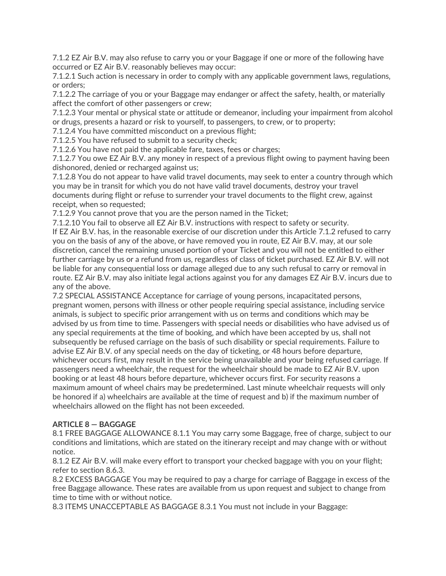7.1.2 EZ Air B.V. may also refuse to carry you or your Baggage if one or more of the following have occurred or EZ Air B.V. reasonably believes may occur:

7.1.2.1 Such action is necessary in order to comply with any applicable government laws, regulations, or orders;

7.1.2.2 The carriage of you or your Baggage may endanger or affect the safety, health, or materially affect the comfort of other passengers or crew;

7.1.2.3 Your mental or physical state or attitude or demeanor, including your impairment from alcohol or drugs, presents a hazard or risk to yourself, to passengers, to crew, or to property;

7.1.2.4 You have committed misconduct on a previous flight;

7.1.2.5 You have refused to submit to a security check;

7.1.2.6 You have not paid the applicable fare, taxes, fees or charges;

7.1.2.7 You owe EZ Air B.V. any money in respect of a previous flight owing to payment having been dishonored, denied or recharged against us;

7.1.2.8 You do not appear to have valid travel documents, may seek to enter a country through which you may be in transit for which you do not have valid travel documents' destroy your travel documents during flight or refuse to surrender your travel documents to the flight crew, against receipt, when so requested;

7.1.2.9 You cannot prove that you are the person named in the Ticket;

7.1.2.10 You fail to observe all EZ Air B.V. instructions with respect to safety or security.

If EZ Air B.V. has, in the reasonable exercise of our discretion under this Article 7.1.2 refused to carry you on the basis of any of the above, or have removed you in route, EZ Air B.V. may, at our sole discretion, cancel the remaining unused portion of your Ticket and you will not be entitled to either further carriage by us or a refund from us, regardless of class of ticket purchased. EZ Air B.V. will not be liable for any consequential loss or damage alleged due to any such refusal to carry or removal in route. EZ Air B.V. may also initiate legal actions against you for any damages EZ Air B.V. incurs due to any of the above.

7.2 SPECIAL ASSISTANCE Acceptance for carriage of young persons, incapacitated persons, pregnant women, persons with illness or other people requiring special assistance, including service animals, is subject to specific prior arrangement with us on terms and conditions which may be advised by us from time to time. Passengers with special needs or disabilities who have advised us of any special requirements at the time of booking, and which have been accepted by us, shall not subsequently be refused carriage on the basis of such disability or special requirements. Failure to advise EZ Air B.V. of any special needs on the day of ticketing, or 48 hours before departure, whichever occurs first, may result in the service being unavailable and your being refused carriage. If passengers need a wheelchair, the request for the wheelchair should be made to EZ Air B.V. upon booking or at least 48 hours before departure, whichever occurs first. For security reasons a maximum amount of wheel chairs may be predetermined. Last minute wheelchair requests will only be honored if a) wheelchairs are available at the time of request and b) if the maximum number of wheelchairs allowed on the flight has not been exceeded.

# **ARTICLE 8 — BAGGAGE**

8.1 FREE BAGGAGE ALLOWANCE 8.1.1 You may carry some Baggage, free of charge, subject to our conditions and limitations, which are stated on the itinerary receipt and may change with or without notice.

8.1.2 EZ Air B.V. will make every effort to transport your checked baggage with you on your flight; refer to section 8.6.3.

8.2 EXCESS BAGGAGE You may be required to pay a charge for carriage of Baggage in excess of the free Baggage allowance. These rates are available from us upon request and subject to change from time to time with or without notice.

8.3 ITEMS UNACCEPTABLE AS BAGGAGE 8.3.1 You must not include in your Baggage: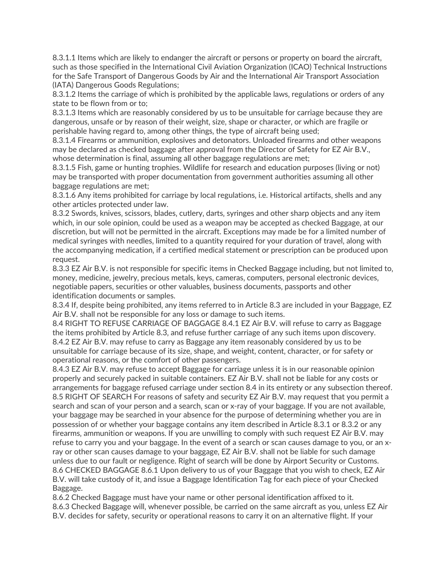8.3.1.1 Items which are likely to endanger the aircraft or persons or property on board the aircraft, such as those specified in the International Civil Aviation Organization (ICAO) Technical Instructions for the Safe Transport of Dangerous Goods by Air and the International Air Transport Association (IATA) Dangerous Goods Regulations;

8.3.1.2 Items the carriage of which is prohibited by the applicable laws, regulations or orders of any state to be flown from or to;

8.3.1.3 Items which are reasonably considered by us to be unsuitable for carriage because they are dangerous, unsafe or by reason of their weight, size, shape or character, or which are fragile or perishable having regard to, among other things, the type of aircraft being used;

8.3.1.4 Firearms or ammunition, explosives and detonators. Unloaded firearms and other weapons may be declared as checked baggage after approval from the Director of Safety for EZ Air B.V.. whose determination is final, assuming all other baggage regulations are met;

8.3.1.5 Fish, game or hunting trophies. Wildlife for research and education purposes (living or not) may be transported with proper documentation from government authorities assuming all other baggage regulations are met;

8.3.1.6 Any items prohibited for carriage by local regulations, i.e. Historical artifacts, shells and any other articles protected under law.

8.3.2 Swords, knives, scissors, blades, cutlery, darts, syringes and other sharp objects and any item which, in our sole opinion, could be used as a weapon may be accepted as checked Baggage, at our discretion, but will not be permitted in the aircraft. Exceptions may made be for a limited number of medical syringes with needles, limited to a quantity required for your duration of travel, along with the accompanying medication, if a certified medical statement or prescription can be produced upon request.

8.3.3 EZ Air B.V. is not responsible for specific items in Checked Baggage including, but not limited to, money, medicine, jewelry, precious metals, keys, cameras, computers, personal electronic devices, negotiable papers, securities or other valuables, business documents, passports and other identification documents or samples.

8.3.4 If, despite being prohibited, any items referred to in Article 8.3 are included in your Baggage, EZ Air B.V. shall not be responsible for any loss or damage to such items.

8.4 RIGHT TO REFUSE CARRIAGE OF BAGGAGE 8.4.1 EZ Air B.V. will refuse to carry as Baggage the items prohibited by Article 8.3, and refuse further carriage of any such items upon discovery. 8.4.2 EZ Air B.V. may refuse to carry as Baggage any item reasonably considered by us to be unsuitable for carriage because of its size, shape, and weight, content, character, or for safety or operational reasons, or the comfort of other passengers.

8.4.3 EZ Air B.V. may refuse to accept Baggage for carriage unless it is in our reasonable opinion properly and securely packed in suitable containers. EZ Air B.V. shall not be liable for any costs or arrangements for baggage refused carriage under section 8.4 in its entirety or any subsection thereof. 8.5 RIGHT OF SEARCH For reasons of safety and security EZ Air B.V. may request that you permit a search and scan of your person and a search, scan or x-ray of your baggage. If you are not available, your baggage may be searched in your absence for the purpose of determining whether you are in possession of or whether your baggage contains any item described in Article 8.3.1 or 8.3.2 or any firearms, ammunition or weapons. If you are unwilling to comply with such request EZ Air B.V. may refuse to carry you and your baggage. In the event of a search or scan causes damage to you, or an xray or other scan causes damage to your baggage, EZ Air B.V. shall not be liable for such damage unless due to our fault or negligence. Right of search will be done by Airport Security or Customs. 8.6 CHECKED BAGGAGE 8.6.1 Upon delivery to us of your Baggage that you wish to check, EZ Air B.V. will take custody of it, and issue a Baggage Identification Tag for each piece of your Checked Baggage.

8.6.2 Checked Baggage must have your name or other personal identification affixed to it. 8.6.3 Checked Baggage will, whenever possible, be carried on the same aircraft as you, unless EZ Air B.V. decides for safety, security or operational reasons to carry it on an alternative flight. If your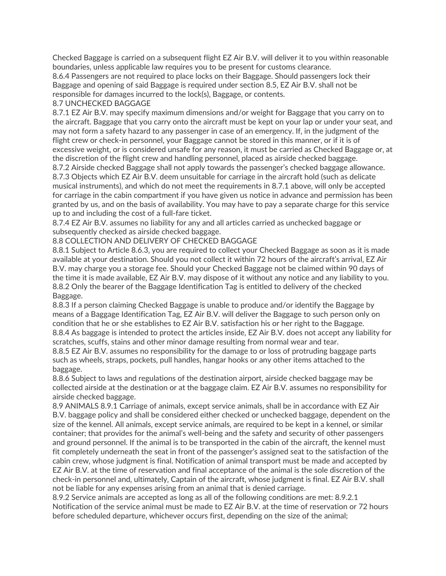Checked Baggage is carried on a subsequent flight EZ Air B.V. will deliver it to you within reasonable boundaries, unless applicable law requires you to be present for customs clearance.

8.6.4 Passengers are not required to place locks on their Baggage. Should passengers lock their Baggage and opening of said Baggage is required under section 8.5, EZ Air B.V. shall not be responsible for damages incurred to the lock(s), Baggage, or contents.

#### 8.7 UNCHECKED BAGGAGE

8.7.1 EZ Air B.V. may specify maximum dimensions and/or weight for Baggage that you carry on to the aircraft. Baggage that you carry onto the aircraft must be kept on your lap or under your seat, and may not form a safety hazard to any passenger in case of an emergency. If, in the judgment of the flight crew or check-in personnel, your Baggage cannot be stored in this manner, or if it is of excessive weight, or is considered unsafe for any reason, it must be carried as Checked Baggage or, at the discretion of the flight crew and handling personnel, placed as airside checked baggage.

8.7.2 Airside checked Baggage shall not apply towards the passenger's checked baggage allowance. 8.7.3 Objects which EZ Air B.V. deem unsuitable for carriage in the aircraft hold (such as delicate musical instruments), and which do not meet the requirements in 8.7.1 above, will only be accepted for carriage in the cabin compartment if you have given us notice in advance and permission has been granted by us, and on the basis of availability. You may have to pay a separate charge for this service up to and including the cost of a full-fare ticket.

8.7.4 EZ Air B.V. assumes no liability for any and all articles carried as unchecked baggage or subsequently checked as airside checked baggage.

## 8.8 COLLECTION AND DELIVERY OF CHECKED BAGGAGE

8.8.1 Subject to Article 8.6.3, you are required to collect your Checked Baggage as soon as it is made available at your destination. Should you not collect it within 72 hours of the aircraft's arrival, EZ Air B.V. may charge you a storage fee. Should your Checked Baggage not be claimed within 90 days of the time it is made available, EZ Air B.V. may dispose of it without any notice and any liability to you. 8.8.2 Only the bearer of the Baggage Identification Tag is entitled to delivery of the checked Baggage.

8.8.3 If a person claiming Checked Baggage is unable to produce and/or identify the Baggage by means of a Baggage Identification Tag' EZ Air B.V. will deliver the Baggage to such person only on condition that he or she establishes to EZ Air B.V. satisfaction his or her right to the Baggage. 8.8.4 As baggage is intended to protect the articles inside, EZ Air B.V. does not accept any liability for scratches, scuffs, stains and other minor damage resulting from normal wear and tear.

8.8.5 EZ Air B.V. assumes no responsibility for the damage to or loss of protruding baggage parts such as wheels, straps, pockets, pull handles, hangar hooks or any other items attached to the baggage.

8.8.6 Subject to laws and regulations of the destination airport, airside checked baggage may be collected airside at the destination or at the baggage claim. EZ Air B.V. assumes no responsibility for airside checked baggage.

8.9 ANIMALS 8.9.1 Carriage of animals, except service animals, shall be in accordance with EZ Air B.V. baggage policy and shall be considered either checked or unchecked baggage, dependent on the size of the kennel. All animals, except service animals, are required to be kept in a kennel, or similar container; that provides for the animal's well-being and the safety and security of other passengers and ground personnel. If the animal is to be transported in the cabin of the aircraft, the kennel must fit completely underneath the seat in front of the passenger's assigned seat to the satisfaction of the cabin crew, whose judgment is final. Notification of animal transport must be made and accepted by EZ Air B.V. at the time of reservation and final acceptance of the animal is the sole discretion of the check-in personnel and, ultimately, Captain of the aircraft, whose judgment is final. EZ Air B.V. shall not be liable for any expenses arising from an animal that is denied carriage.

8.9.2 Service animals are accepted as long as all of the following conditions are met: 8.9.2.1 Notification of the service animal must be made to EZ Air B.V. at the time of reservation or 72 hours before scheduled departure, whichever occurs first, depending on the size of the animal;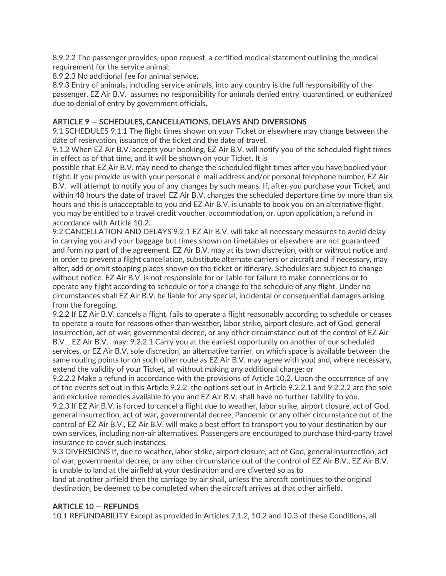8.9.2.2 The passenger provides, upon request, a certified medical statement outlining the medical requirement for the service animal;

8.9.2.3 No additional fee for animal service.

8.9.3 Entry of animals, including service animals, into any country is the full responsibility of the passenger. EZ Air B.V. assumes no responsibility for animals denied entry, quarantined, or euthanized due to denial of entry by government officials.

# **ARTICLE 9 — SCHEDULES' CANCELLATIONS' DELAYS AND DIVERSIONS**

9.1 SCHEDULES 9.1.1 The flight times shown on your Ticket or elsewhere may change between the date of reservation, issuance of the ticket and the date of travel.

9.1.2 When EZ Air B.V. accepts your booking, EZ Air B.V. will notify you of the scheduled flight times in effect as of that time, and it will be shown on your Ticket. It is

possible that EZ Air B.V. may need to change the scheduled flight times after you have booked your flight. If you provide us with your personal e-mail address and/or personal telephone number, EZ Air B.V. will attempt to notify you of any changes by such means. If, after you purchase your Ticket, and within 48 hours the date of travel, EZ Air B.V. changes the scheduled departure time by more than six hours and this is unacceptable to you and EZ Air B.V. is unable to book you on an alternative flight, you may be entitled to a travel credit voucher, accommodation, or, upon application, a refund in accordance with Article 10.2.

9.2 CANCELLATION AND DELAYS 9.2.1 EZ Air B.V. will take all necessary measures to avoid delay in carrying you and your baggage but times shown on timetables or elsewhere are not guaranteed and form no part of the agreement. EZ Air B.V. may at its own discretion, with or without notice and in order to prevent a flight cancellation, substitute alternate carriers or aircraft and if necessary, may alter, add or omit stopping places shown on the ticket or itinerary. Schedules are subject to change without notice. EZ Air B.V. is not responsible for or liable for failure to make connections or to operate any flight according to schedule or for a change to the schedule of any flight. Under no circumstances shall EZ Air B.V. be liable for any special, incidental or consequential damages arising from the foregoing.

9.2.2 If EZ Air B.V. cancels a flight, fails to operate a flight reasonably according to schedule or ceases to operate a route for reasons other than weather, labor strike, airport closure, act of God, general insurrection, act of war, governmental decree, or any other circumstance out of the control of EZ Air B.V., EZ Air B.V. may: 9.2.2.1 Carry you at the earliest opportunity on another of our scheduled services, or EZ Air B.V. sole discretion, an alternative carrier, on which space is available between the same routing points (or on such other route as EZ Air B.V. may agree with you) and, where necessary, extend the validity of your Ticket, all without making any additional charge; or

9.2.2.2 Make a refund in accordance with the provisions of Article 10.2. Upon the occurrence of any of the events set out in this Article 9.2.2' the options set out in Article 9.2.2.1 and 9.2.2.2 are the sole and exclusive remedies available to you and EZ Air B.V. shall have no further liability to you.

9.2.3 If EZ Air B.V. is forced to cancel a flight due to weather, labor strike, airport closure, act of God, general insurrection, act of war, governmental decree, Pandemic or any other circumstance out of the control of EZ Air B.V., EZ Air B.V. will make a best effort to transport you to your destination by our own services' including non-air alternatives. Passengers are encouraged to purchase third-party travel insurance to cover such instances.

9.3 DIVERSIONS If, due to weather, labor strike, airport closure, act of God, general insurrection, act of war, governmental decree, or any other circumstance out of the control of EZ Air B.V., EZ Air B.V. is unable to land at the airfield at your destination and are diverted so as to

land at another airfield then the carriage by air shall, unless the aircraft continues to the original destination, be deemed to be completed when the aircraft arrives at that other airfield.

#### **ARTICLE 10 — REFUNDS**

10.1 REFUNDABILITY Except as provided in Articles 7.1.2, 10.2 and 10.3 of these Conditions, all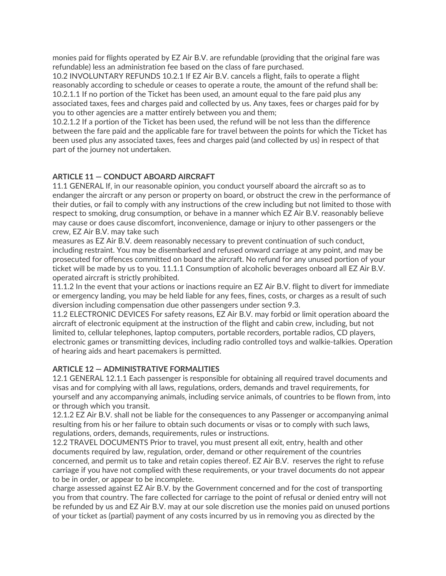monies paid for flights operated by EZ Air B.V. are refundable (providing that the original fare was refundable) less an administration fee based on the class of fare purchased.

10.2 INVOLUNTARY REFUNDS 10.2.1 If EZ Air B.V. cancels a flight, fails to operate a flight reasonably according to schedule or ceases to operate a route, the amount of the refund shall be: 10.2.1.1 If no portion of the Ticket has been used, an amount equal to the fare paid plus any associated taxes, fees and charges paid and collected by us. Any taxes, fees or charges paid for by you to other agencies are a matter entirely between you and them;

10.2.1.2 If a portion of the Ticket has been used, the refund will be not less than the difference between the fare paid and the applicable fare for travel between the points for which the Ticket has been used plus any associated taxes, fees and charges paid (and collected by us) in respect of that part of the journey not undertaken.

# **ARTICLE 11 — CONDUCT ABOARD AIRCRAFT**

11.1 GENERAL If, in our reasonable opinion, you conduct yourself aboard the aircraft so as to endanger the aircraft or any person or property on board, or obstruct the crew in the performance of their duties, or fail to comply with any instructions of the crew including but not limited to those with respect to smoking, drug consumption, or behave in a manner which EZ Air B.V. reasonably believe may cause or does cause discomfort, inconvenience, damage or injury to other passengers or the crew, EZ Air B.V. may take such

measures as EZ Air B.V. deem reasonably necessary to prevent continuation of such conduct, including restraint. You may be disembarked and refused onward carriage at any point, and may be prosecuted for offences committed on board the aircraft. No refund for any unused portion of your ticket will be made by us to you. 11.1.1 Consumption of alcoholic beverages onboard all EZ Air B.V. operated aircraft is strictly prohibited.

11.1.2 In the event that your actions or inactions require an EZ Air B.V. flight to divert for immediate or emergency landing, you may be held liable for any fees, fines, costs, or charges as a result of such diversion including compensation due other passengers under section 9.3.

11.2 ELECTRONIC DEVICES For safety reasons, EZ Air B.V. may forbid or limit operation aboard the aircraft of electronic equipment at the instruction of the flight and cabin crew, including, but not limited to, cellular telephones, laptop computers, portable recorders, portable radios, CD players, electronic games or transmitting devices, including radio controlled toys and walkie-talkies. Operation of hearing aids and heart pacemakers is permitted.

# **ARTICLE 12 — ADMINISTRATIVE FORMALITIES**

12.1 GENERAL 12.1.1 Each passenger is responsible for obtaining all required travel documents and visas and for complying with all laws, regulations, orders, demands and travel requirements, for yourself and any accompanying animals, including service animals, of countries to be flown from, into or through which you transit.

12.1.2 EZ Air B.V. shall not be liable for the consequences to any Passenger or accompanying animal resulting from his or her failure to obtain such documents or visas or to comply with such laws, regulations, orders, demands, requirements, rules or instructions.

12.2 TRAVEL DOCUMENTS Prior to travel, you must present all exit, entry, health and other documents required by law, regulation, order, demand or other requirement of the countries concerned' and permit us to take and retain copies thereof. EZ Air B.V. reserves the right to refuse carriage if you have not complied with these requirements, or your travel documents do not appear to be in order, or appear to be incomplete.

charge assessed against EZ Air B.V. by the Government concerned and for the cost of transporting you from that country. The fare collected for carriage to the point of refusal or denied entry will not be refunded by us and EZ Air B.V. may at our sole discretion use the monies paid on unused portions of your ticket as (partial) payment of any costs incurred by us in removing you as directed by the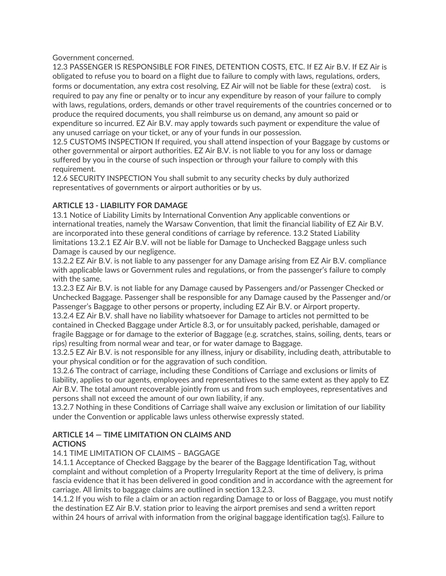Government concerned.

12.3 PASSENGER IS RESPONSIBLE FOR FINES, DETENTION COSTS, ETC. If EZ Air B.V. If EZ Air is obligated to refuse you to board on a flight due to failure to comply with laws, regulations, orders, forms or documentation, any extra cost resolving, EZ Air will not be liable for these (extra) cost. is required to pay any fine or penalty or to incur any expenditure by reason of your failure to comply with laws, regulations, orders, demands or other travel requirements of the countries concerned or to produce the required documents, you shall reimburse us on demand, any amount so paid or expenditure so incurred. EZ Air B.V. may apply towards such payment or expenditure the value of any unused carriage on your ticket, or any of your funds in our possession.

12.5 CUSTOMS INSPECTION If required, you shall attend inspection of your Baggage by customs or other governmental or airport authorities. EZ Air B.V. is not liable to you for any loss or damage suffered by you in the course of such inspection or through your failure to comply with this requirement.

12.6 SECURITY INSPECTION You shall submit to any security checks by duly authorized representatives of governments or airport authorities or by us.

# **ARTICLE 13 - LIABILITY FOR DAMAGE**

13.1 Notice of Liability Limits by International Convention Any applicable conventions or international treaties, namely the Warsaw Convention, that limit the financial liability of EZ Air B.V. are incorporated into these general conditions of carriage by reference. 13.2 Stated Liability limitations 13.2.1 EZ Air B.V. will not be liable for Damage to Unchecked Baggage unless such Damage is caused by our negligence.

13.2.2 EZ Air B.V. is not liable to any passenger for any Damage arising from EZ Air B.V. compliance with applicable laws or Government rules and regulations, or from the passenger's failure to comply with the same.

13.2.3 EZ Air B.V. is not liable for any Damage caused by Passengers and/or Passenger Checked or Unchecked Baggage. Passenger shall be responsible for any Damage caused by the Passenger and/or Passenger's Baggage to other persons or property, including EZ Air B.V. or Airport property.

13.2.4 EZ Air B.V. shall have no liability whatsoever for Damage to articles not permitted to be contained in Checked Baggage under Article 8.3, or for unsuitably packed, perishable, damaged or fragile Baggage or for damage to the exterior of Baggage (e.g. scratches, stains, soiling, dents, tears or rips) resulting from normal wear and tear, or for water damage to Baggage.

13.2.5 EZ Air B.V. is not responsible for any illness, injury or disability, including death, attributable to your physical condition or for the aggravation of such condition.

13.2.6 The contract of carriage, including these Conditions of Carriage and exclusions or limits of liability, applies to our agents, employees and representatives to the same extent as they apply to EZ Air B.V. The total amount recoverable jointly from us and from such employees, representatives and persons shall not exceed the amount of our own liability, if any.

13.2.7 Nothing in these Conditions of Carriage shall waive any exclusion or limitation of our liability under the Convention or applicable laws unless otherwise expressly stated.

# **ARTICLE 14 — TIME LIMITATION ON CLAIMS AND**

#### **ACTIONS**

# 14.1 TIME LIMITATION OF CLAIMS – BAGGAGE

14.1.1 Acceptance of Checked Baggage by the bearer of the Baggage Identification Tag, without complaint and without completion of a Property Irregularity Report at the time of delivery, is prima fascia evidence that it has been delivered in good condition and in accordance with the agreement for carriage. All limits to baggage claims are outlined in section 13.2.3.

14.1.2 If you wish to file a claim or an action regarding Damage to or loss of Baggage, you must notify the destination EZ Air B.V. station prior to leaving the airport premises and send a written report within 24 hours of arrival with information from the original baggage identification tag(s). Failure to